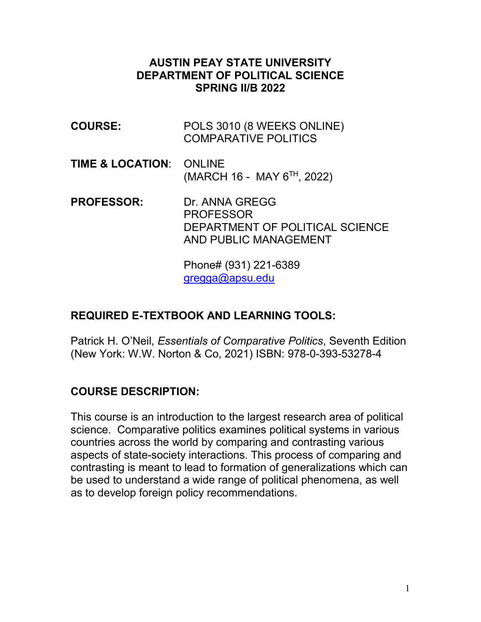#### **AUSTIN PEAY STATE UNIVERSITY DEPARTMENT OF POLITICAL SCIENCE SPRING II/B 2022**

| <b>COURSE:</b>                     | POLS 3010 (8 WEEKS ONLINE)<br><b>COMPARATIVE POLITICS</b>                                      |
|------------------------------------|------------------------------------------------------------------------------------------------|
| <b>TIME &amp; LOCATION: ONLINE</b> | (MARCH 16 - MAY 6 <sup>TH</sup> , 2022)                                                        |
| <b>PROFESSOR:</b>                  | Dr. ANNA GREGG<br><b>PROFESSOR</b><br>DEPARTMENT OF POLITICAL SCIENCE<br>AND PUBLIC MANAGEMENT |

Phone# (931) 221-6389 [gregga@apsu.edu](mailto:gregga@apsu.edu)

#### **REQUIRED E-TEXTBOOK AND LEARNING TOOLS:**

Patrick H. O'Neil, *Essentials of Comparative Politics*, Seventh Edition (New York: W.W. Norton & Co, 2021) ISBN: 978-0-393-53278-4

#### **COURSE DESCRIPTION:**

This course is an introduction to the largest research area of political science. Comparative politics examines political systems in various countries across the world by comparing and contrasting various aspects of state-society interactions. This process of comparing and contrasting is meant to lead to formation of generalizations which can be used to understand a wide range of political phenomena, as well as to develop foreign policy recommendations.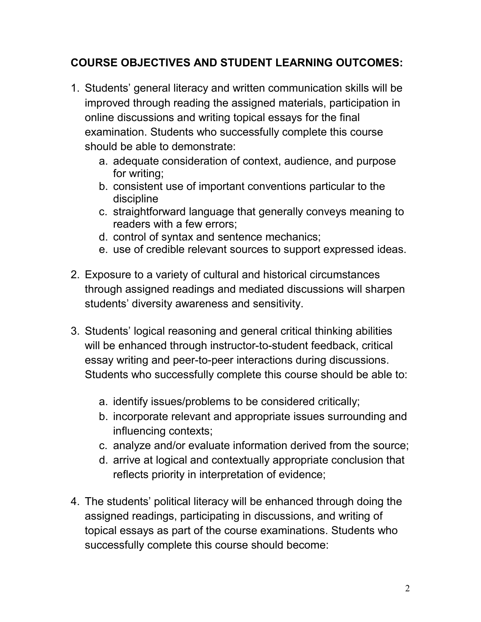## **COURSE OBJECTIVES AND STUDENT LEARNING OUTCOMES:**

- 1. Students' general literacy and written communication skills will be improved through reading the assigned materials, participation in online discussions and writing topical essays for the final examination. Students who successfully complete this course should be able to demonstrate:
	- a. adequate consideration of context, audience, and purpose for writing;
	- b. consistent use of important conventions particular to the discipline
	- c. straightforward language that generally conveys meaning to readers with a few errors;
	- d. control of syntax and sentence mechanics;
	- e. use of credible relevant sources to support expressed ideas.
- 2. Exposure to a variety of cultural and historical circumstances through assigned readings and mediated discussions will sharpen students' diversity awareness and sensitivity.
- 3. Students' logical reasoning and general critical thinking abilities will be enhanced through instructor-to-student feedback, critical essay writing and peer-to-peer interactions during discussions. Students who successfully complete this course should be able to:
	- a. identify issues/problems to be considered critically;
	- b. incorporate relevant and appropriate issues surrounding and influencing contexts;
	- c. analyze and/or evaluate information derived from the source;
	- d. arrive at logical and contextually appropriate conclusion that reflects priority in interpretation of evidence;
- 4. The students' political literacy will be enhanced through doing the assigned readings, participating in discussions, and writing of topical essays as part of the course examinations. Students who successfully complete this course should become: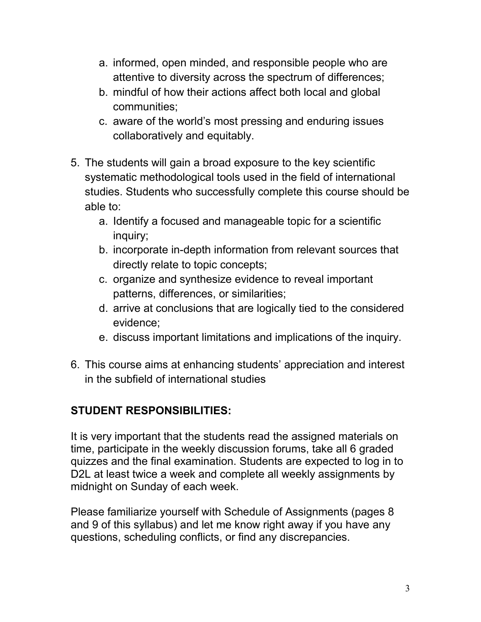- a. informed, open minded, and responsible people who are attentive to diversity across the spectrum of differences;
- b. mindful of how their actions affect both local and global communities;
- c. aware of the world's most pressing and enduring issues collaboratively and equitably.
- 5. The students will gain a broad exposure to the key scientific systematic methodological tools used in the field of international studies. Students who successfully complete this course should be able to:
	- a. Identify a focused and manageable topic for a scientific inquiry;
	- b. incorporate in-depth information from relevant sources that directly relate to topic concepts;
	- c. organize and synthesize evidence to reveal important patterns, differences, or similarities;
	- d. arrive at conclusions that are logically tied to the considered evidence;
	- e. discuss important limitations and implications of the inquiry.
- 6. This course aims at enhancing students' appreciation and interest in the subfield of international studies

## **STUDENT RESPONSIBILITIES:**

It is very important that the students read the assigned materials on time, participate in the weekly discussion forums, take all 6 graded quizzes and the final examination. Students are expected to log in to D2L at least twice a week and complete all weekly assignments by midnight on Sunday of each week.

Please familiarize yourself with Schedule of Assignments (pages 8 and 9 of this syllabus) and let me know right away if you have any questions, scheduling conflicts, or find any discrepancies.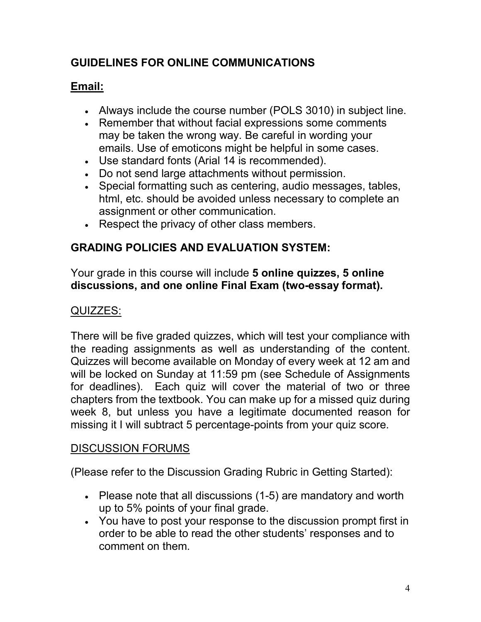## **GUIDELINES FOR ONLINE COMMUNICATIONS**

## **Email:**

- Always include the course number (POLS 3010) in subject line.
- Remember that without facial expressions some comments may be taken the wrong way. Be careful in wording your emails. Use of emoticons might be helpful in some cases.
- Use standard fonts (Arial 14 is recommended).
- Do not send large attachments without permission.
- Special formatting such as centering, audio messages, tables, html, etc. should be avoided unless necessary to complete an assignment or other communication.
- Respect the privacy of other class members.

## **GRADING POLICIES AND EVALUATION SYSTEM:**

Your grade in this course will include **5 online quizzes, 5 online discussions, and one online Final Exam (two-essay format).**

## QUIZZES:

There will be five graded quizzes, which will test your compliance with the reading assignments as well as understanding of the content. Quizzes will become available on Monday of every week at 12 am and will be locked on Sunday at 11:59 pm (see Schedule of Assignments for deadlines). Each quiz will cover the material of two or three chapters from the textbook. You can make up for a missed quiz during week 8, but unless you have a legitimate documented reason for missing it I will subtract 5 percentage-points from your quiz score.

#### DISCUSSION FORUMS

(Please refer to the Discussion Grading Rubric in Getting Started):

- Please note that all discussions (1-5) are mandatory and worth up to 5% points of your final grade.
- You have to post your response to the discussion prompt first in order to be able to read the other students' responses and to comment on them.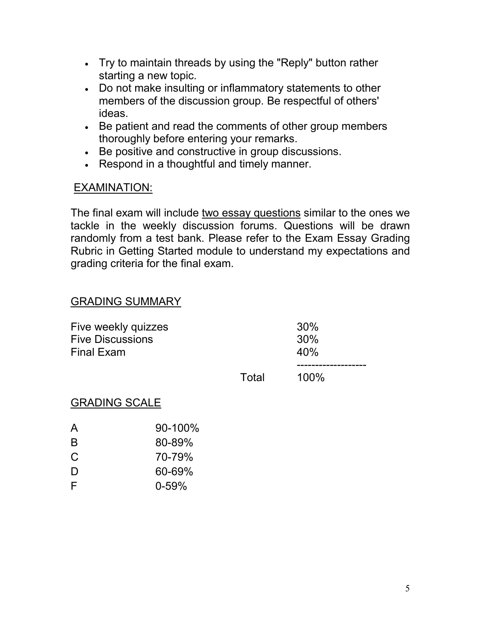- Try to maintain threads by using the "Reply" button rather starting a new topic.
- Do not make insulting or inflammatory statements to other members of the discussion group. Be respectful of others' ideas.
- Be patient and read the comments of other group members thoroughly before entering your remarks.
- Be positive and constructive in group discussions.
- Respond in a thoughtful and timely manner.

#### EXAMINATION:

The final exam will include two essay questions similar to the ones we tackle in the weekly discussion forums. Questions will be drawn randomly from a test bank. Please refer to the Exam Essay Grading Rubric in Getting Started module to understand my expectations and grading criteria for the final exam.

#### GRADING SUMMARY

| Five weekly quizzes<br><b>Five Discussions</b><br><b>Final Exam</b> |       | 30%<br>30%<br>40% |
|---------------------------------------------------------------------|-------|-------------------|
|                                                                     | Total | 100%              |

#### GRADING SCALE

| $90 - 100\%$ |
|--------------|
| 80-89%       |
| 70-79%       |
| 60-69%       |
| $0 - 59%$    |
|              |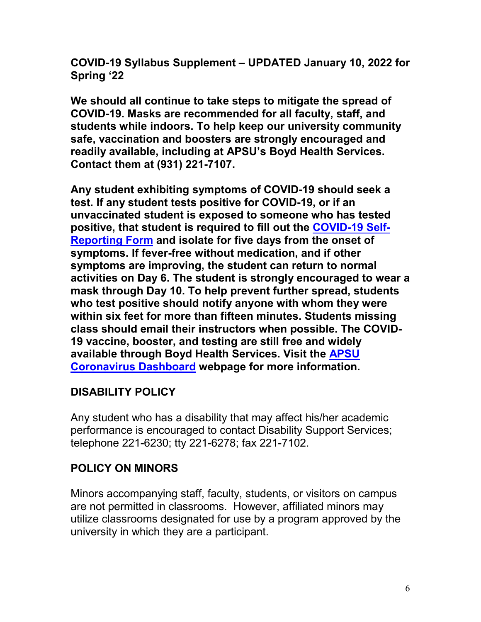**COVID-19 Syllabus Supplement – UPDATED January 10, 2022 for Spring '22**

**We should all continue to take steps to mitigate the spread of COVID-19. Masks are recommended for all faculty, staff, and students while indoors. To help keep our university community safe, vaccination and boosters are strongly encouraged and readily available, including at APSU's Boyd Health Services. Contact them at (931) 221-7107.**

**Any student exhibiting symptoms of COVID-19 should seek a test. If any student tests positive for COVID-19, or if an unvaccinated student is exposed to someone who has tested positive, that student is required to fill out the [COVID-19 Self-](https://cm.maxient.com/reportingform.php?AustinPeayStateUniv&layout_id=19)[Reporting Form](https://cm.maxient.com/reportingform.php?AustinPeayStateUniv&layout_id=19) and isolate for five days from the onset of symptoms. If fever-free without medication, and if other symptoms are improving, the student can return to normal activities on Day 6. The student is strongly encouraged to wear a mask through Day 10. To help prevent further spread, students who test positive should notify anyone with whom they were within six feet for more than fifteen minutes. Students missing class should email their instructors when possible. The COVID-19 vaccine, booster, and testing are still free and widely available through Boyd Health Services. Visit the [APSU](https://apsu.edu/coronavirus/index.php)  [Coronavirus Dashboard](https://apsu.edu/coronavirus/index.php) webpage for more information.**

#### **DISABILITY POLICY**

Any student who has a disability that may affect his/her academic performance is encouraged to contact Disability Support Services; telephone 221-6230; tty 221-6278; fax 221-7102.

#### **POLICY ON MINORS**

Minors accompanying staff, faculty, students, or visitors on campus are not permitted in classrooms. However, affiliated minors may utilize classrooms designated for use by a program approved by the university in which they are a participant.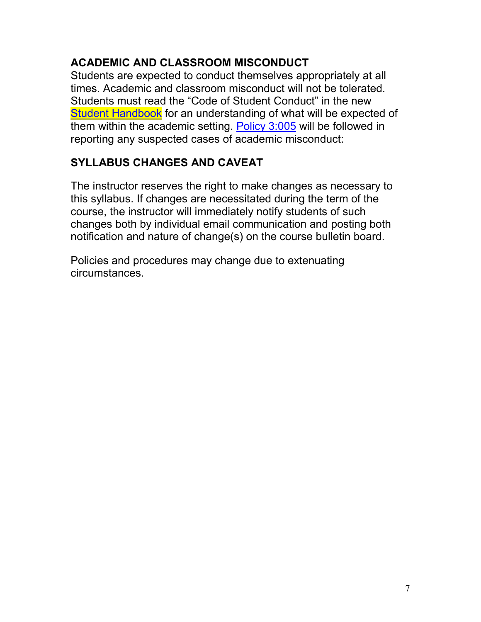### **ACADEMIC AND CLASSROOM MISCONDUCT**

Students are expected to conduct themselves appropriately at all times. Academic and classroom misconduct will not be tolerated. Students must read the "Code of Student Conduct" in the new [Student Handbook](https://www.apsu.edu/handbook/index.php) for an understanding of what will be expected of them within the academic setting. [Policy 3:005](https://www.apsu.edu/policy/3s_student_policies/3005-student-academic-misconduct.php) will be followed in reporting any suspected cases of academic misconduct:

## **SYLLABUS CHANGES AND CAVEAT**

The instructor reserves the right to make changes as necessary to this syllabus. If changes are necessitated during the term of the course, the instructor will immediately notify students of such changes both by individual email communication and posting both notification and nature of change(s) on the course bulletin board.

Policies and procedures may change due to extenuating circumstances.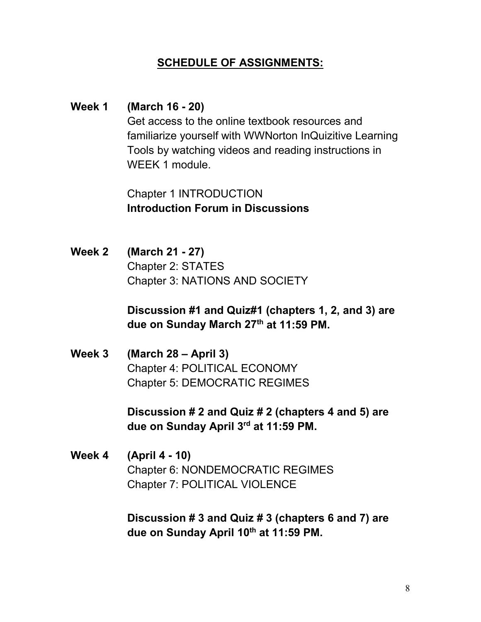#### **SCHEDULE OF ASSIGNMENTS:**

**Week 1 (March 16 - 20)** Get access to the online textbook resources and familiarize yourself with WWNorton InQuizitive Learning Tools by watching videos and reading instructions in WEEK 1 module.

> Chapter 1 INTRODUCTION **Introduction Forum in Discussions**

**Week 2 (March 21 - 27)** Chapter 2: STATES Chapter 3: NATIONS AND SOCIETY

> **Discussion #1 and Quiz#1 (chapters 1, 2, and 3) are due on Sunday March 27th at 11:59 PM.**

**Week 3 (March 28 – April 3)** Chapter 4: POLITICAL ECONOMY Chapter 5: DEMOCRATIC REGIMES

> **Discussion # 2 and Quiz # 2 (chapters 4 and 5) are due on Sunday April 3rd at 11:59 PM.**

**Week 4 (April 4 - 10)** Chapter 6: NONDEMOCRATIC REGIMES Chapter 7: POLITICAL VIOLENCE

> **Discussion # 3 and Quiz # 3 (chapters 6 and 7) are due on Sunday April 10th at 11:59 PM.**